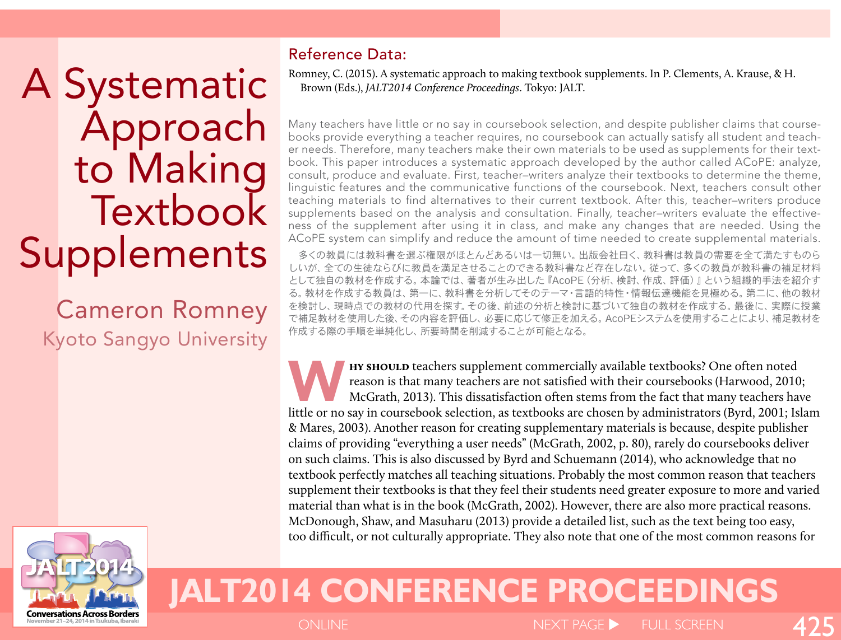A Systematic Approach to Making **Textbook Supplements** 

Cameron Romney Kyoto Sangyo University

**Conversations Across Borders** 



Romney, C. (2015). A systematic approach to making textbook supplements. In P. Clements, A. Krause, & H. Brown (Eds.), *JALT2014 Conference Proceedings*. Tokyo: JALT.

Many teachers have little or no say in coursebook selection, and despite publisher claims that coursebooks provide everything a teacher requires, no coursebook can actually satisfy all student and teacher needs. Therefore, many teachers make their own materials to be used as supplements for their textbook. This paper introduces a systematic approach developed by the author called ACoPE: analyze, consult, produce and evaluate. First, teacher–writers analyze their textbooks to determine the theme, linguistic features and the communicative functions of the coursebook. Next, teachers consult other teaching materials to find alternatives to their current textbook. After this, teacher–writers produce supplements based on the analysis and consultation. Finally, teacher–writers evaluate the effectiveness of the supplement after using it in class, and make any changes that are needed. Using the ACoPE system can simplify and reduce the amount of time needed to create supplemental materials.

多くの教員には教科書を選ぶ権限がほとんどあるいは一切無い。出版会社曰く、教科書は教員の需要を全て満たすものら しいが、全ての生徒ならびに教員を満足させることのできる教科書など存在しない。従って、多くの教員が教科書の補足材料 として独自の教材を作成する。本論では、著者が生み出した『AcoPE(分析、検討、作成、評価)』という組織的手法を紹介す る。教材を作成する教員は、第一に、教科書を分析してそのテーマ・言語的特性・情報伝達機能を見極める。第二に、他の教材 を検討し、現時点での教材の代用を探す。その後、前述の分析と検討に基づいて独自の教材を作成する。最後に、実際に授業 で補足教材を使用した後、その内容を評価し、必要に応じて修正を加える。AcoPEシステムを使用することにより、補足教材を 作成する際の手順を単純化し、所要時間を削減することが可能となる。

**HY SHOULD** teachers supplement commercially available textbooks? One often noted<br>reason is that many teachers are not satisfied with their coursebooks (Harwood, 2010<br>McGrath, 2013). This dissatisfaction often stems from t reason is that many teachers are not satisfied with their coursebooks (Harwood, 2010; McGrath, 2013). This dissatisfaction often stems from the fact that many teachers have little or no say in coursebook selection, as textbooks are chosen by administrators (Byrd, 2001; Islam & Mares, 2003). Another reason for creating supplementary materials is because, despite publisher claims of providing "everything a user needs" (McGrath, 2002, p. 80), rarely do coursebooks deliver on such claims. This is also discussed by Byrd and Schuemann (2014), who acknowledge that no textbook perfectly matches all teaching situations. Probably the most common reason that teachers supplement their textbooks is that they feel their students need greater exposure to more and varied material than what is in the book (McGrath, 2002). However, there are also more practical reasons. McDonough, Shaw, and Masuharu (2013) provide a detailed list, such as the text being too easy, too difficult, or not culturally appropriate. They also note that one of the most common reasons for

# **JALT2014 CONFERENCE PROCEEDINGS**

ONLINE NEXT PAGE SERVICES IN THE SCREEN

425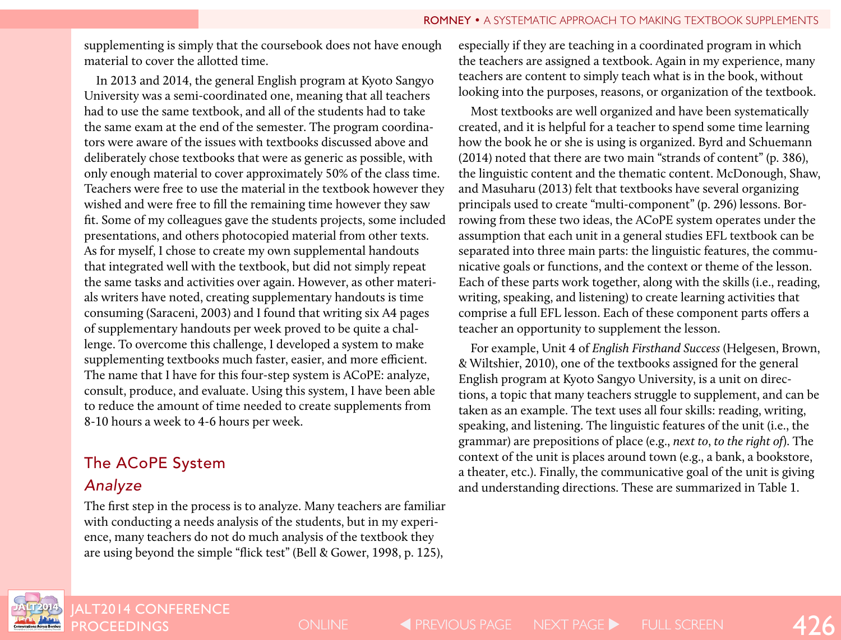supplementing is simply that the coursebook does not have enough material to cover the allotted time.

In 2013 and 2014, the general English program at Kyoto Sangyo University was a semi-coordinated one, meaning that all teachers had to use the same textbook, and all of the students had to take the same exam at the end of the semester. The program coordinators were aware of the issues with textbooks discussed above and deliberately chose textbooks that were as generic as possible, with only enough material to cover approximately 50% of the class time. Teachers were free to use the material in the textbook however they wished and were free to fill the remaining time however they saw fit. Some of my colleagues gave the students projects, some included presentations, and others photocopied material from other texts. As for myself, I chose to create my own supplemental handouts that integrated well with the textbook, but did not simply repeat the same tasks and activities over again. However, as other materials writers have noted, creating supplementary handouts is time consuming (Saraceni, 2003) and I found that writing six A4 pages of supplementary handouts per week proved to be quite a challenge. To overcome this challenge, I developed a system to make supplementing textbooks much faster, easier, and more efficient. The name that I have for this four-step system is ACoPE: analyze, consult, produce, and evaluate. Using this system, I have been able to reduce the amount of time needed to create supplements from 8-10 hours a week to 4-6 hours per week.

# The ACoPE System

### *Analyze*

The first step in the process is to analyze. Many teachers are familiar with conducting a needs analysis of the students, but in my experience, many teachers do not do much analysis of the textbook they are using beyond the simple "flick test" (Bell & Gower, 1998, p. 125),

especially if they are teaching in a coordinated program in which the teachers are assigned a textbook. Again in my experience, many teachers are content to simply teach what is in the book, without looking into the purposes, reasons, or organization of the textbook.

Most textbooks are well organized and have been systematically created, and it is helpful for a teacher to spend some time learning how the book he or she is using is organized. Byrd and Schuemann (2014) noted that there are two main "strands of content" (p. 386), the linguistic content and the thematic content. McDonough, Shaw, and Masuharu (2013) felt that textbooks have several organizing principals used to create "multi-component" (p. 296) lessons. Borrowing from these two ideas, the ACoPE system operates under the assumption that each unit in a general studies EFL textbook can be separated into three main parts: the linguistic features, the communicative goals or functions, and the context or theme of the lesson. Each of these parts work together, along with the skills (i.e., reading, writing, speaking, and listening) to create learning activities that comprise a full EFL lesson. Each of these component parts offers a teacher an opportunity to supplement the lesson.

For example, Unit 4 of *English Firsthand Success* (Helgesen, Brown, & Wiltshier, 2010), one of the textbooks assigned for the general English program at Kyoto Sangyo University, is a unit on directions, a topic that many teachers struggle to supplement, and can be taken as an example. The text uses all four skills: reading, writing, speaking, and listening. The linguistic features of the unit (i.e., the grammar) are prepositions of place (e.g., *next to*, *to the right of*). The context of the unit is places around town (e.g., a bank, a bookstore, a theater, etc.). Finally, the communicative goal of the unit is giving and understanding directions. These are summarized in Table 1.



JALT2014 CONFERENC<mark>E</mark><br>PROCEEDINGS

PROCEEDINGS 426 ONLINE PREVIOUS PAGE PAGE NEXT PAGE FULL SCREEN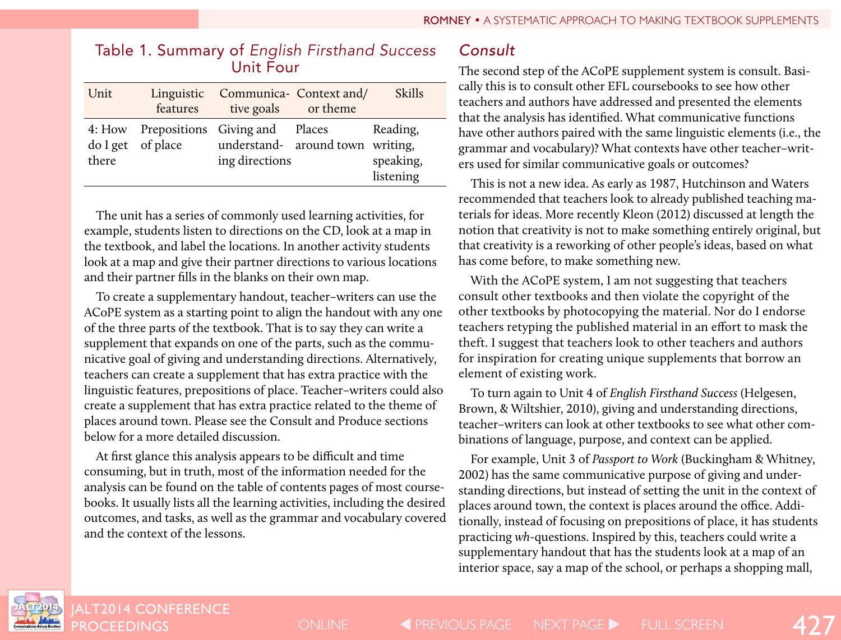| Unit  | features          | Linguistic Communica- Context and/<br>tive goals or theme                                   | <b>Skills</b>                      |
|-------|-------------------|---------------------------------------------------------------------------------------------|------------------------------------|
| there | do I get of place | 4: How Prepositions Giving and Places<br>understand- around town writing,<br>ing directions | Reading,<br>speaking,<br>listening |

### Table 1. Summary of *English Firsthand Success* Unit Four

The unit has a series of commonly used learning activities, for example, students listen to directions on the CD, look at a map in the textbook, and label the locations. In another activity students look at a map and give their partner directions to various locations and their partner fills in the blanks on their own map.

To create a supplementary handout, teacher–writers can use the ACoPE system as a starting point to align the handout with any one of the three parts of the textbook. That is to say they can write a supplement that expands on one of the parts, such as the communicative goal of giving and understanding directions. Alternatively, teachers can create a supplement that has extra practice with the linguistic features, prepositions of place. Teacher–writers could also create a supplement that has extra practice related to the theme of places around town. Please see the Consult and Produce sections below for a more detailed discussion.

At first glance this analysis appears to be difficult and time consuming, but in truth, most of the information needed for the analysis can be found on the table of contents pages of most coursebooks. It usually lists all the learning activities, including the desired outcomes, and tasks, as well as the grammar and vocabulary covered and the context of the lessons.

# *Consult*

The second step of the ACoPE supplement system is consult. Basically this is to consult other EFL coursebooks to see how other teachers and authors have addressed and presented the elements that the analysis has identified. What communicative functions have other authors paired with the same linguistic elements (i.e., the grammar and vocabulary)? What contexts have other teacher–writers used for similar communicative goals or outcomes?

This is not a new idea. As early as 1987, Hutchinson and Waters recommended that teachers look to already published teaching materials for ideas. More recently Kleon (2012) discussed at length the notion that creativity is not to make something entirely original, but that creativity is a reworking of other people's ideas, based on what has come before, to make something new.

With the ACoPE system, I am not suggesting that teachers consult other textbooks and then violate the copyright of the other textbooks by photocopying the material. Nor do I endorse teachers retyping the published material in an effort to mask the theft. I suggest that teachers look to other teachers and authors for inspiration for creating unique supplements that borrow an element of existing work.

To turn again to Unit 4 of *English Firsthand Success* (Helgesen, Brown, & Wiltshier, 2010), giving and understanding directions, teacher–writers can look at other textbooks to see what other combinations of language, purpose, and context can be applied.

For example, Unit 3 of *Passport to Work* (Buckingham & Whitney, 2002) has the same communicative purpose of giving and understanding directions, but instead of setting the unit in the context of places around town, the context is places around the office. Additionally, instead of focusing on prepositions of place, it has students practicing *wh*-questions. Inspired by this, teachers could write a supplementary handout that has the students look at a map of an interior space, say a map of the school, or perhaps a shopping mall,

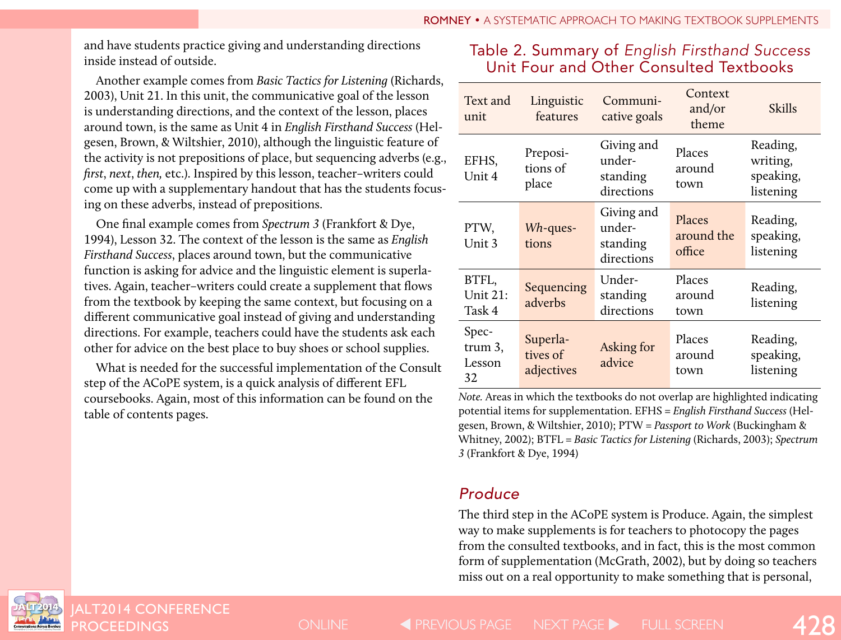and have students practice giving and understanding directions inside instead of outside.

Another example comes from *Basic Tactics for Listening* (Richards, 2003), Unit 21. In this unit, the communicative goal of the lesson is understanding directions, and the context of the lesson, places around town, is the same as Unit 4 in *English Firsthand Success* (Helgesen, Brown, & Wiltshier, 2010), although the linguistic feature of the activity is not prepositions of place, but sequencing adverbs (e.g., *first*, *next*, *then,* etc.). Inspired by this lesson, teacher–writers could come up with a supplementary handout that has the students focusing on these adverbs, instead of prepositions.

One final example comes from *Spectrum 3* (Frankfort & Dye, 1994), Lesson 32. The context of the lesson is the same as *English Firsthand Success*, places around town, but the communicative function is asking for advice and the linguistic element is superlatives. Again, teacher–writers could create a supplement that flows from the textbook by keeping the same context, but focusing on a different communicative goal instead of giving and understanding directions. For example, teachers could have the students ask each other for advice on the best place to buy shoes or school supplies.

What is needed for the successful implementation of the Consult step of the ACoPE system, is a quick analysis of different EFL coursebooks. Again, most of this information can be found on the table of contents pages.

# Table 2. Summary of *English Firsthand Success* Unit Four and Other Consulted Textbooks

| Text and<br>unit                 | Linguistic<br>features             | Communi-<br>cative goals                       | Context<br>and/or<br>theme     | <b>Skills</b>                                  |
|----------------------------------|------------------------------------|------------------------------------------------|--------------------------------|------------------------------------------------|
| EFHS,<br>Unit 4                  | Preposi-<br>tions of<br>place      | Giving and<br>under-<br>standing<br>directions | Places<br>around<br>town       | Reading,<br>writing,<br>speaking,<br>listening |
| PTW,<br>Unit 3                   | $Wh$ -ques-<br>tions               | Giving and<br>under-<br>standing<br>directions | Places<br>around the<br>office | Reading,<br>speaking,<br>listening             |
| BTFL,<br>Unit 21:<br>Task 4      | Sequencing<br>adverbs              | Under-<br>standing<br>directions               | Places<br>around<br>town       | Reading,<br>listening                          |
| Spec-<br>trum 3,<br>Lesson<br>32 | Superla-<br>tives of<br>adjectives | Asking for<br>advice                           | Places<br>around<br>town       | Reading,<br>speaking,<br>listening             |

*Note.* Areas in which the textbooks do not overlap are highlighted indicating potential items for supplementation. EFHS = *English Firsthand Success* (Helgesen, Brown, & Wiltshier, 2010); PTW = *Passport to Work* (Buckingham & Whitney, 2002); BTFL = *Basic Tactics for Listening* (Richards, 2003); *Spectrum 3* (Frankfort & Dye, 1994)

# *Produce*

The third step in the ACoPE system is Produce. Again, the simplest way to make supplements is for teachers to photocopy the pages from the consulted textbooks, and in fact, this is the most common form of supplementation (McGrath, 2002), but by doing so teachers miss out on a real opportunity to make something that is personal,



JALT2014 CONFERENCE<br><u>PROC</u>EEDINGS

PROCEEDINGS 428 ONLINE PREVIOUS PAGE PAGE NEXT PAGE FULL SCREEN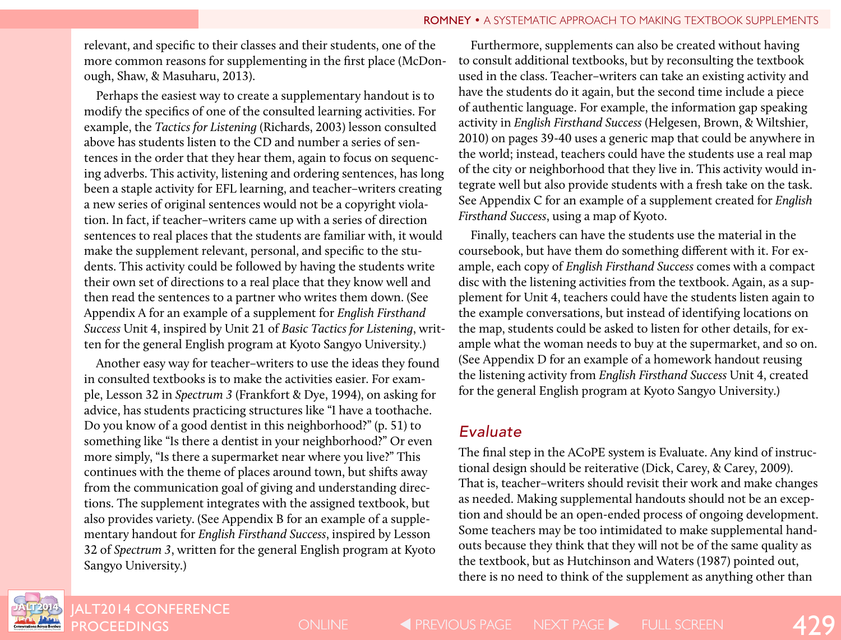relevant, and specific to their classes and their students, one of the more common reasons for supplementing in the first place (McDonough, Shaw, & Masuharu, 2013).

Perhaps the easiest way to create a supplementary handout is to modify the specifics of one of the consulted learning activities. For example, the *Tactics for Listening* (Richards, 2003) lesson consulted above has students listen to the CD and number a series of sentences in the order that they hear them, again to focus on sequencing adverbs. This activity, listening and ordering sentences, has long been a staple activity for EFL learning, and teacher–writers creating a new series of original sentences would not be a copyright violation. In fact, if teacher–writers came up with a series of direction sentences to real places that the students are familiar with, it would make the supplement relevant, personal, and specific to the students. This activity could be followed by having the students write their own set of directions to a real place that they know well and then read the sentences to a partner who writes them down. (See Appendix A for an example of a supplement for *English Firsthand Success* Unit 4, inspired by Unit 21 of *Basic Tactics for Listening*, written for the general English program at Kyoto Sangyo University.)

Another easy way for teacher–writers to use the ideas they found in consulted textbooks is to make the activities easier. For example, Lesson 32 in *Spectrum 3* (Frankfort & Dye, 1994), on asking for advice, has students practicing structures like "I have a toothache. Do you know of a good dentist in this neighborhood?" (p. 51) to something like "Is there a dentist in your neighborhood?" Or even more simply, "Is there a supermarket near where you live?" This continues with the theme of places around town, but shifts away from the communication goal of giving and understanding directions. The supplement integrates with the assigned textbook, but also provides variety. (See Appendix B for an example of a supplementary handout for *English Firsthand Success*, inspired by Lesson 32 of *Spectrum 3*, written for the general English program at Kyoto Sangyo University.)

Furthermore, supplements can also be created without having to consult additional textbooks, but by reconsulting the textbook used in the class. Teacher–writers can take an existing activity and have the students do it again, but the second time include a piece of authentic language. For example, the information gap speaking activity in *English Firsthand Success* (Helgesen, Brown, & Wiltshier, 2010) on pages 39-40 uses a generic map that could be anywhere in the world; instead, teachers could have the students use a real map of the city or neighborhood that they live in. This activity would integrate well but also provide students with a fresh take on the task. See Appendix C for an example of a supplement created for *English Firsthand Success*, using a map of Kyoto.

Finally, teachers can have the students use the material in the coursebook, but have them do something different with it. For example, each copy of *English Firsthand Success* comes with a compact disc with the listening activities from the textbook. Again, as a supplement for Unit 4, teachers could have the students listen again to the example conversations, but instead of identifying locations on the map, students could be asked to listen for other details, for example what the woman needs to buy at the supermarket, and so on. (See Appendix D for an example of a homework handout reusing the listening activity from *English Firsthand Success* Unit 4, created for the general English program at Kyoto Sangyo University.)

### *Evaluate*

The final step in the ACoPE system is Evaluate. Any kind of instructional design should be reiterative (Dick, Carey, & Carey, 2009). That is, teacher–writers should revisit their work and make changes as needed. Making supplemental handouts should not be an exception and should be an open-ended process of ongoing development. Some teachers may be too intimidated to make supplemental handouts because they think that they will not be of the same quality as the textbook, but as Hutchinson and Waters (1987) pointed out, there is no need to think of the supplement as anything other than



ALT2014 CONFERENCE

PROCEEDINGS ONLINE PREVIOUS PAGE NEXT PAGE FULL SCREEN 429 ONLINE **STATES PAGE ARE VIOUS PAGE ARE REXT PAGE ARE FULL SCREEN**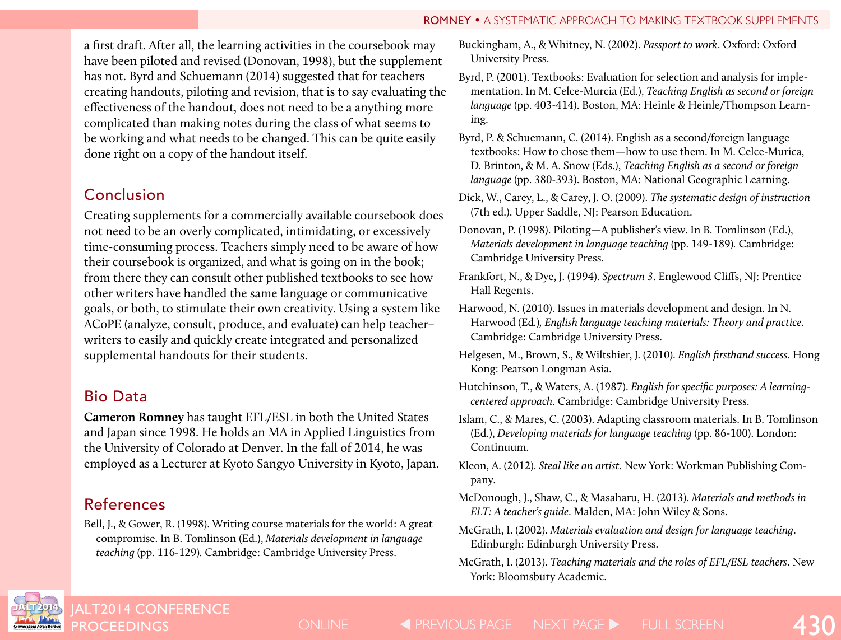#### ROMNEY • A SYSTEMATIC APPROACH TO MAKING TEXTBOOK SUPPLEMENTS

a first draft. After all, the learning activities in the coursebook may have been piloted and revised (Donovan, 1998), but the supplement has not. Byrd and Schuemann (2014) suggested that for teachers creating handouts, piloting and revision, that is to say evaluating the effectiveness of the handout, does not need to be a anything more complicated than making notes during the class of what seems to be working and what needs to be changed. This can be quite easily done right on a copy of the handout itself.

# Conclusion

Creating supplements for a commercially available coursebook does not need to be an overly complicated, intimidating, or excessively time-consuming process. Teachers simply need to be aware of how their coursebook is organized, and what is going on in the book; from there they can consult other published textbooks to see how other writers have handled the same language or communicative goals, or both, to stimulate their own creativity. Using a system like ACoPE (analyze, consult, produce, and evaluate) can help teacher– writers to easily and quickly create integrated and personalized supplemental handouts for their students.

# Bio Data

**Cameron Romney** has taught EFL/ESL in both the United States and Japan since 1998. He holds an MA in Applied Linguistics from the University of Colorado at Denver. In the fall of 2014, he was employed as a Lecturer at Kyoto Sangyo University in Kyoto, Japan.

# References

Bell, J., & Gower, R. (1998). Writing course materials for the world: A great compromise. In B. Tomlinson (Ed.), *Materials development in language teaching* (pp. 116-129)*.* Cambridge: Cambridge University Press.

Buckingham, A., & Whitney, N. (2002). *Passport to work*. Oxford: Oxford University Press.

- Byrd, P. (2001). Textbooks: Evaluation for selection and analysis for implementation. In M. Celce-Murcia (Ed.), *Teaching English as second or foreign language* (pp. 403-414). Boston, MA: Heinle & Heinle/Thompson Learning.
- Byrd, P. & Schuemann, C. (2014). English as a second/foreign language textbooks: How to chose them—how to use them. In M. Celce-Murica, D. Brinton, & M. A. Snow (Eds.), *Teaching English as a second or foreign language* (pp. 380-393). Boston, MA: National Geographic Learning.
- Dick, W., Carey, L., & Carey, J. O. (2009). *The systematic design of instruction* (7th ed.). Upper Saddle, NJ: Pearson Education.
- Donovan, P. (1998). Piloting—A publisher's view. In B. Tomlinson (Ed.), *Materials development in language teaching* (pp. 149-189)*.* Cambridge: Cambridge University Press.
- Frankfort, N., & Dye, J. (1994). *Spectrum 3*. Englewood Cliffs, NJ: Prentice Hall Regents.
- Harwood, N. (2010). Issues in materials development and design. In N. Harwood (Ed*.*)*, English language teaching materials: Theory and practice*. Cambridge: Cambridge University Press.
- Helgesen, M., Brown, S., & Wiltshier, J. (2010). *English firsthand success*. Hong Kong: Pearson Longman Asia.
- Hutchinson, T., & Waters, A. (1987). *English for specific purposes: A learningcentered approach*. Cambridge: Cambridge University Press.
- Islam, C., & Mares, C. (2003). Adapting classroom materials. In B. Tomlinson (Ed.), *Developing materials for language teaching* (pp. 86-100). London: Continuum.
- Kleon, A. (2012). *Steal like an artist*. New York: Workman Publishing Company.
- McDonough, J., Shaw, C., & Masaharu, H. (2013). *Materials and methods in ELT: A teacher's guide*. Malden, MA: John Wiley & Sons.
- McGrath, I. (2002). *Materials evaluation and design for language teaching*. Edinburgh: Edinburgh University Press.
- McGrath, I. (2013). *Teaching materials and the roles of EFL/ESL teachers*. New York: Bloomsbury Academic.



PROCEEDINGS 430 ONLINE PREVIOUS PAGE PAGE NEXT PAGE FULL SCREEN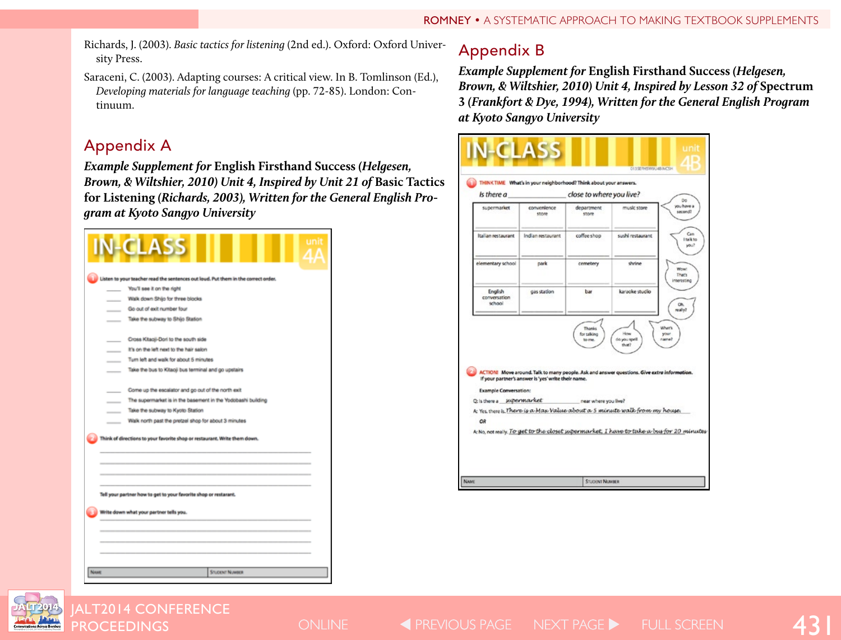- Richards, J. (2003). *Basic tactics for listening* (2nd ed.). Oxford: Oxford University Press.
- Saraceni, C. (2003). Adapting courses: A critical view. In B. Tomlinson (Ed.), *Developing materials for language teaching* (pp. 72-85). London: Continuum.

# Appendix A

*Example Supplement for* **English Firsthand Success** *(Helgesen, Brown, & Wiltshier, 2010) Unit 4, Inspired by Unit 21 of Basic Tactics* **for Listening** *(Richards, 2003), Written for the General English Program at Kyoto Sangyo University*



# Appendix B

*Example Supplement for* **English Firsthand Success** *(Helgesen, Brown, & Wiltshier, 2010) Unit 4, Inspired by Lesson 32 of* **Spectrum 3** *(Frankfort & Dye, 1994), Written for the General English Program at Kyoto Sangyo University*





JALT2014 CONFERENCE